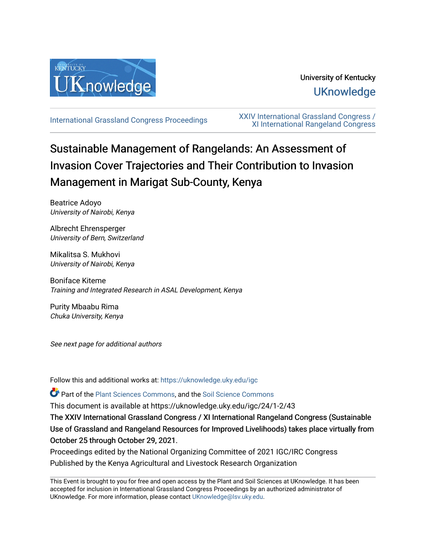

# University of Kentucky **UKnowledge**

[International Grassland Congress Proceedings](https://uknowledge.uky.edu/igc) [XXIV International Grassland Congress /](https://uknowledge.uky.edu/igc/24)  [XI International Rangeland Congress](https://uknowledge.uky.edu/igc/24) 

# Sustainable Management of Rangelands: An Assessment of Invasion Cover Trajectories and Their Contribution to Invasion Management in Marigat Sub-County, Kenya

Beatrice Adoyo University of Nairobi, Kenya

Albrecht Ehrensperger University of Bern, Switzerland

Mikalitsa S. Mukhovi University of Nairobi, Kenya

Boniface Kiteme Training and Integrated Research in ASAL Development, Kenya

Purity Mbaabu Rima Chuka University, Kenya

See next page for additional authors

Follow this and additional works at: [https://uknowledge.uky.edu/igc](https://uknowledge.uky.edu/igc?utm_source=uknowledge.uky.edu%2Figc%2F24%2F1-2%2F43&utm_medium=PDF&utm_campaign=PDFCoverPages) 

Part of the [Plant Sciences Commons](http://network.bepress.com/hgg/discipline/102?utm_source=uknowledge.uky.edu%2Figc%2F24%2F1-2%2F43&utm_medium=PDF&utm_campaign=PDFCoverPages), and the [Soil Science Commons](http://network.bepress.com/hgg/discipline/163?utm_source=uknowledge.uky.edu%2Figc%2F24%2F1-2%2F43&utm_medium=PDF&utm_campaign=PDFCoverPages) 

This document is available at https://uknowledge.uky.edu/igc/24/1-2/43

The XXIV International Grassland Congress / XI International Rangeland Congress (Sustainable Use of Grassland and Rangeland Resources for Improved Livelihoods) takes place virtually from October 25 through October 29, 2021.

Proceedings edited by the National Organizing Committee of 2021 IGC/IRC Congress Published by the Kenya Agricultural and Livestock Research Organization

This Event is brought to you for free and open access by the Plant and Soil Sciences at UKnowledge. It has been accepted for inclusion in International Grassland Congress Proceedings by an authorized administrator of UKnowledge. For more information, please contact [UKnowledge@lsv.uky.edu](mailto:UKnowledge@lsv.uky.edu).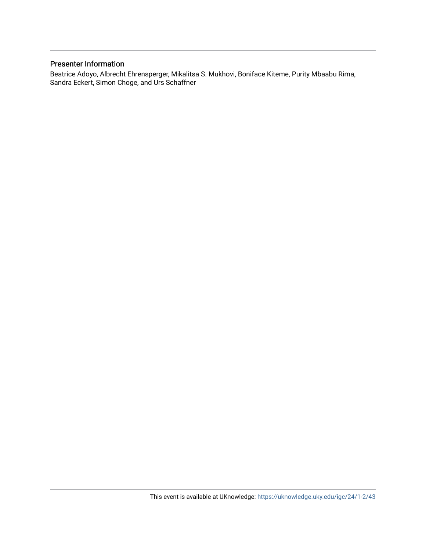# Presenter Information

Beatrice Adoyo, Albrecht Ehrensperger, Mikalitsa S. Mukhovi, Boniface Kiteme, Purity Mbaabu Rima, Sandra Eckert, Simon Choge, and Urs Schaffner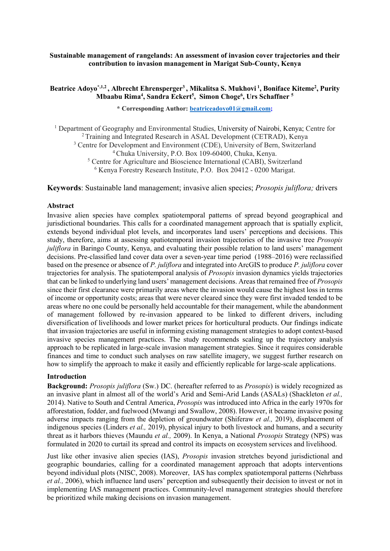#### **Sustainable management of rangelands: An assessment of invasion cover trajectories and their contribution to invasion management in Marigat Sub-County, Kenya**

### **Beatrice Adoyo\*,1,2 , Albrecht Ehrensperger3 , Mikalitsa S. Mukhovi <sup>1</sup> , Boniface Kiteme2 , Purity Mbaabu Rima4 , Sandra Eckert5 , Simon Choge6 , Urs Schaffner <sup>5</sup>**

**\* Corresponding Author: [beatriceadoyo01@gmail.com;](mailto:beatriceadoyo01@gmail.com)**

<sup>1</sup> Department of Geography and Environmental Studies, University of Nairobi, Kenya; Centre for 2 Training and Integrated Research in ASAL Development (CETRAD), Kenya

<sup>3</sup> Centre for Development and Environment (CDE), University of Bern, Switzerland

4 Chuka University, P.O. Box 109-60400, Chuka, Kenya.

<sup>5</sup> Centre for Agriculture and Bioscience International (CABI), Switzerland <sup>6</sup> Kenya Forestry Research Institute, P.O. Box 20412 - 0200 Marigat.

**Keywords**: Sustainable land management; invasive alien species; *Prosopis juliflora;* drivers

#### **Abstract**

Invasive alien species have complex spatiotemporal patterns of spread beyond geographical and jurisdictional boundaries. This calls for a coordinated management approach that is spatially explicit, extends beyond individual plot levels, and incorporates land users' perceptions and decisions. This study, therefore, aims at assessing spatiotemporal invasion trajectories of the invasive tree *Prosopis juliflora* in Baringo County, Kenya, and evaluating their possible relation to land users' management decisions. Pre-classified land cover data over a seven-year time period (1988–2016) were reclassified based on the presence or absence of *P. juliflora* and integrated into ArcGIS to produce *P. juliflora* cover trajectories for analysis. The spatiotemporal analysis of *Prosopis* invasion dynamics yields trajectories that can be linked to underlying land users' management decisions. Areas that remained free of *Prosopis* since their first clearance were primarily areas where the invasion would cause the highest loss in terms of income or opportunity costs; areas that were never cleared since they were first invaded tended to be areas where no one could be personally held accountable for their management, while the abandonment of management followed by re-invasion appeared to be linked to different drivers, including diversification of livelihoods and lower market prices for horticultural products. Our findings indicate that invasion trajectories are useful in informing existing management strategies to adopt context-based invasive species management practices. The study recommends scaling up the trajectory analysis approach to be replicated in large-scale invasion management strategies. Since it requires considerable finances and time to conduct such analyses on raw satellite imagery, we suggest further research on how to simplify the approach to make it easily and efficiently replicable for large-scale applications.

#### **Introduction**

**Background:** *Prosopis juliflora* (Sw.) DC. (hereafter referred to as *Prosopis*) is widely recognized as an invasive plant in almost all of the world's Arid and Semi-Arid Lands (ASALs) (Shackleton *et al.,*  2014). Native to South and Central America, *Prosopis* was introduced into Africa in the early 1970s for afforestation, fodder, and fuelwood (Mwangi and Swallow, 2008). However, it became invasive posing adverse impacts ranging from the depletion of groundwater (Shiferaw *et al.,* 2019), displacement of indigenous species (Linders *et al.,* 2019), physical injury to both livestock and humans, and a security threat as it harbors thieves (Maundu *et al.,* 2009). In Kenya, a National *Prosopis* Strategy (NPS) was formulated in 2020 to curtail its spread and control its impacts on ecosystem services and livelihood.

Just like other invasive alien species (IAS), *Prosopis* invasion stretches beyond jurisdictional and geographic boundaries, calling for a coordinated management approach that adopts interventions beyond individual plots (NISC, 2008). Moreover, IAS has complex spatiotemporal patterns (Nehrbass *et al.,* 2006), which influence land users' perception and subsequently their decision to invest or not in implementing IAS management practices. Community-level management strategies should therefore be prioritized while making decisions on invasion management.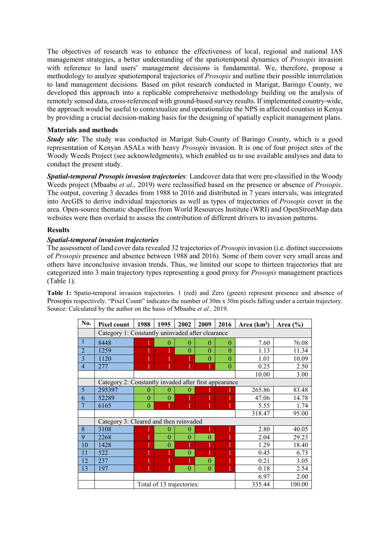The objectives of research was to enhance the effectiveness of local, regional and national IAS management strategies, a better understanding of the spatiotemporal dynamics of *Prosopis* invasion with reference to land users' management decisions is fundamental. We, therefore, propose a methodology to analyze spatiotemporal trajectories of *Prosopis* and outline their possible interrelation to land management decisions*.* Based on pilot research conducted in Marigat, Baringo County, we developed this approach into a replicable comprehensive methodology building on the analysis of remotely sensed data, cross-referenced with ground-based survey results. If implemented country-wide, the approach would be useful to contextualize and operationalize the NPS in affected counties in Kenya by providing a crucial decision-making basis for the designing of spatially explicit management plans.

## **Materials and methods**

**Study site:** The study was conducted in Marigat Sub-County of Baringo County, which is a good representation of Kenyan ASALs with heavy *Prosopis* invasion. It is one of four project sites of the Woody Weeds Project (see acknowledgments), which enabled us to use available analyses and data to conduct the present study.

*Spatial-temporal Prosopis invasion trajectories:* Landcover data that were pre-classified in the Woody Weeds project (Mbaabu *et al.,* 2019) were reclassified based on the presence or absence of *Prosopis*. The output, covering 3 decades from 1988 to 2016 and distributed in 7 years intervals, was integrated into ArcGIS to derive individual trajectories as well as types of trajectories of *Prosopis* cover in the area. Open-source thematic shapefiles from World Resources Institute (WRI) and OpenStreetMap data websites were then overlaid to assess the contribution of different drivers to invasion patterns.

# **Results**

# *Spatial-temporal invasion trajectories*

The assessment of land cover data revealed 32 trajectories of *Prosopis* invasion (i.e. distinct successions of *Prosopis* presence and absence between 1988 and 2016). Some of them cover very small areas and others have inconclusive invasion trends. Thus, we limited our scope to thirteen trajectories that are categorized into 3 main trajectory types representing a good proxy for *Prosopis* management practices (Table 1).

**Table 1:** Spatio-temporal invasion trajectories. 1 (red) and Zero (green) represent presence and absence of Prosopis respectively. "Pixel Count" indicates the number of 30m x 30m pixels falling under a certain trajectory. Source: Calculated by the author on the basis of Mbaabu *et al.,* 2019.

| No.            | <b>Pixel count</b>                                    | 1988                      | 1995     | 2002     | 2009           | 2016     | Area $(km2)$ | Area $(\% )$ |
|----------------|-------------------------------------------------------|---------------------------|----------|----------|----------------|----------|--------------|--------------|
|                | Category 1: Constantly uninvaded after clearance      |                           |          |          |                |          |              |              |
| $\mathbf{1}$   | 8448                                                  |                           | $\theta$ | $\theta$ | $\theta$       | $\theta$ | 7.60         | 76.08        |
| $\overline{2}$ | 1259                                                  | 1                         | 1        | $\theta$ | $\theta$       | $\theta$ | 1.13         | 11.34        |
| 3              | 1120                                                  |                           |          |          | $\theta$       | $\Omega$ | 1.01         | 10.09        |
| $\overline{4}$ | 277                                                   |                           |          |          | 1              | $\theta$ | 0.25         | 2.50         |
|                |                                                       |                           |          |          |                |          | 10.00        | 3.00         |
|                | Category 2: Constantly invaded after first appearance |                           |          |          |                |          |              |              |
| 5              | 295397                                                | $\theta$                  | $\theta$ | 0        |                |          | 265.86       | 83.48        |
| 6              | 52289                                                 | $\theta$                  | $\theta$ |          | 1              |          | 47.06        | 14.78        |
| 7              | 6165                                                  | $\theta$                  |          |          | 1              |          | 5.55         | 1.74         |
|                |                                                       |                           |          |          |                |          | 318.47       | 95.00        |
|                | Category 3: Cleared and then reinvaded                |                           |          |          |                |          |              |              |
| 8              | 3108                                                  |                           | 0        | $\theta$ | 1              |          | 2.80         | 40.05        |
| 9              | 2268                                                  |                           | $\Omega$ | $\theta$ | $\overline{0}$ |          | 2.04         | 29.23        |
| 10             | 1428                                                  |                           | $\theta$ |          | 1              |          | 1.29         | 18.40        |
| 11             | 522                                                   |                           |          | $\theta$ | 1              |          | 0.45         | 6.73         |
| 12             | 237                                                   |                           |          |          | $\theta$       |          | 0.21         | 3.05         |
| 13             | 197                                                   | 1                         |          | $\theta$ | $\theta$       |          | 0.18         | 2.54         |
|                |                                                       |                           |          |          |                |          | 6.97         | 2.00         |
|                |                                                       | Total of 13 trajectories: |          |          |                |          | 335.44       | 100.00       |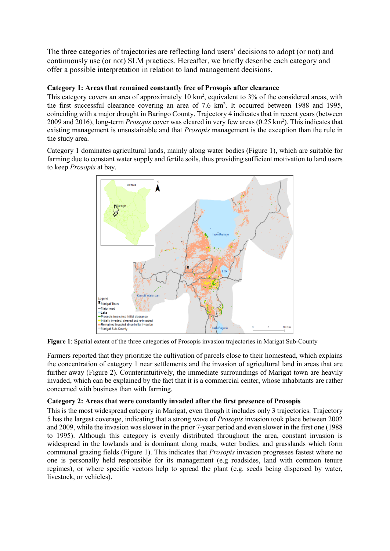The three categories of trajectories are reflecting land users' decisions to adopt (or not) and continuously use (or not) SLM practices. Hereafter, we briefly describe each category and offer a possible interpretation in relation to land management decisions.

# **Category 1: Areas that remained constantly free of Prosopis after clearance**

This category covers an area of approximately  $10 \text{ km}^2$ , equivalent to  $3\%$  of the considered areas, with the first successful clearance covering an area of 7.6 km<sup>2</sup>. It occurred between 1988 and 1995, coinciding with a major drought in Baringo County. Trajectory 4 indicates that in recent years (between 2009 and 2016), long-term *Prosopis* cover was cleared in very few areas (0.25 km<sup>2</sup>). This indicates that existing management is unsustainable and that *Prosopis* management is the exception than the rule in the study area.

Category 1 dominates agricultural lands, mainly along water bodies (Figure 1), which are suitable for farming due to constant water supply and fertile soils, thus providing sufficient motivation to land users to keep *Prosopis* at bay.



**Figure 1**: Spatial extent of the three categories of Prosopis invasion trajectories in Marigat Sub-County

Farmers reported that they prioritize the cultivation of parcels close to their homestead, which explains the concentration of category 1 near settlements and the invasion of agricultural land in areas that are further away (Figure 2). Counterintuitively, the immediate surroundings of Marigat town are heavily invaded, which can be explained by the fact that it is a commercial center, whose inhabitants are rather concerned with business than with farming.

# **Category 2: Areas that were constantly invaded after the first presence of Prosopis**

This is the most widespread category in Marigat, even though it includes only 3 trajectories. Trajectory 5 has the largest coverage, indicating that a strong wave of *Prosopis* invasion took place between 2002 and 2009, while the invasion was slower in the prior 7-year period and even slower in the first one (1988 to 1995). Although this category is evenly distributed throughout the area, constant invasion is widespread in the lowlands and is dominant along roads, water bodies, and grasslands which form communal grazing fields (Figure 1). This indicates that *Prosopis* invasion progresses fastest where no one is personally held responsible for its management (e.g roadsides, land with common tenure regimes), or where specific vectors help to spread the plant (e.g. seeds being dispersed by water, livestock, or vehicles).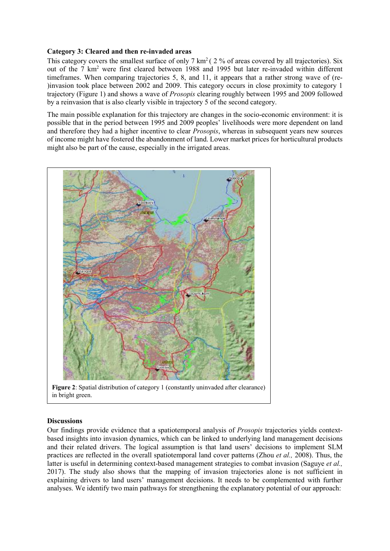#### **Category 3: Cleared and then re-invaded areas**

This category covers the smallest surface of only  $7 \text{ km}^2$  (  $2 \%$  of areas covered by all trajectories). Six out of the 7 km2 were first cleared between 1988 and 1995 but later re-invaded within different timeframes. When comparing trajectories 5, 8, and 11, it appears that a rather strong wave of (re- )invasion took place between 2002 and 2009. This category occurs in close proximity to category 1 trajectory (Figure 1) and shows a wave of *Prosopis* clearing roughly between 1995 and 2009 followed by a reinvasion that is also clearly visible in trajectory 5 of the second category.

The main possible explanation for this trajectory are changes in the socio-economic environment: it is possible that in the period between 1995 and 2009 peoples' livelihoods were more dependent on land and therefore they had a higher incentive to clear *Prosopis*, whereas in subsequent years new sources of income might have fostered the abandonment of land. Lower market prices for horticultural products might also be part of the cause, especially in the irrigated areas.



**Figure 2**: Spatial distribution of category 1 (constantly uninvaded after clearance) in bright green.

#### **Discussions**

Our findings provide evidence that a spatiotemporal analysis of *Prosopis* trajectories yields contextbased insights into invasion dynamics, which can be linked to underlying land management decisions and their related drivers. The logical assumption is that land users' decisions to implement SLM practices are reflected in the overall spatiotemporal land cover patterns (Zhou *et al.,* 2008). Thus, the latter is useful in determining context-based management strategies to combat invasion (Saguye *et al.,*  2017). The study also shows that the mapping of invasion trajectories alone is not sufficient in explaining drivers to land users' management decisions. It needs to be complemented with further analyses. We identify two main pathways for strengthening the explanatory potential of our approach: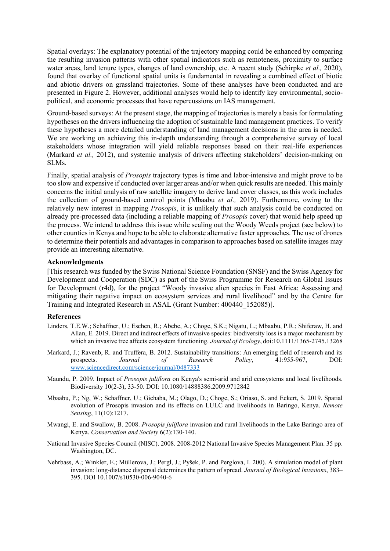Spatial overlays: The explanatory potential of the trajectory mapping could be enhanced by comparing the resulting invasion patterns with other spatial indicators such as remoteness, proximity to surface water areas, land tenure types, changes of land ownership, etc. A recent study (Schirpke *et al.,* 2020), found that overlay of functional spatial units is fundamental in revealing a combined effect of biotic and abiotic drivers on grassland trajectories. Some of these analyses have been conducted and are presented in Figure 2. However, additional analyses would help to identify key environmental, sociopolitical, and economic processes that have repercussions on IAS management.

Ground-based surveys: At the present stage, the mapping of trajectories is merely a basis for formulating hypotheses on the drivers influencing the adoption of sustainable land management practices. To verify these hypotheses a more detailed understanding of land management decisions in the area is needed. We are working on achieving this in-depth understanding through a comprehensive survey of local stakeholders whose integration will yield reliable responses based on their real-life experiences (Markard *et al.,* 2012), and systemic analysis of drivers affecting stakeholders' decision-making on SLMs.

Finally, spatial analysis of *Prosopis* trajectory types is time and labor-intensive and might prove to be too slow and expensive if conducted over larger areas and/or when quick results are needed. This mainly concerns the initial analysis of raw satellite imagery to derive land cover classes, as this work includes the collection of ground-based control points (Mbaabu *et al.,* 2019). Furthermore, owing to the relatively new interest in mapping *Prosopis*, it is unlikely that such analysis could be conducted on already pre-processed data (including a reliable mapping of *Prosopis* cover) that would help speed up the process. We intend to address this issue while scaling out the Woody Weeds project (see below) to other counties in Kenya and hope to be able to elaborate alternative faster approaches. The use of drones to determine their potentials and advantages in comparison to approaches based on satellite images may provide an interesting alternative.

#### **Acknowledgments**

[This research was funded by the Swiss National Science Foundation (SNSF) and the Swiss Agency for Development and Cooperation (SDC) as part of the Swiss Programme for Research on Global Issues for Development (r4d), for the project "Woody invasive alien species in East Africa: Assessing and mitigating their negative impact on ecosystem services and rural livelihood" and by the Centre for Training and Integrated Research in ASAL (Grant Number: 400440\_152085)].

#### **References**

- Linders, T.E.W.; Schaffner, U.; Eschen, R.; Abebe, A.; Choge, S.K.; Nigatu, L.; Mbaabu, P.R.; Shiferaw, H. and Allan, E. 2019. [Direct and indirect effects of invasive species: biodiversity loss is a major mechanism by](https://besjournals.onlinelibrary.wiley.com/doi/full/10.1111/1365-2745.13268)  [which an invasive tree affects ecosystem functioning.](https://besjournals.onlinelibrary.wiley.com/doi/full/10.1111/1365-2745.13268) *Journal of Ecology*, doi:10.1111/1365-2745.13268
- Markard, J.; Ravenb, R. and Truffera, B. 2012. Sustainability transitions: An emerging field of research and its prospects. *Journal of Research Policy*, 41:955-967, DOI: [www.sciencedirect.com/science/journal/0487333](http://www.sciencedirect.com/science/journal/0487333)
- Maundu, P. 2009. Impact of *Prosopis juliflora* on Kenya's semi-arid and arid ecosystems and local livelihoods. Biodiversity 10(2-3), 33-50. DOI: 10.1080/14888386.2009.9712842
- Mbaabu, P.; Ng, W.; Schaffner, U.; Gichaba, M.; Olago, D.; Choge, S.; Oriaso, S. and Eckert, S. 2019. Spatial evolution of Prosopis invasion and its effects on LULC and livelihoods in Baringo, Kenya. *Remote Sensing*, 11(10):1217.
- Mwangi, E. and Swallow, B. 2008. *Prosopis juliflora* invasion and rural livelihoods in the Lake Baringo area of Kenya. *Conservation and Society* 6(2):130-140.
- National Invasive Species Council (NISC). 2008. 2008-2012 National Invasive Species Management Plan. 35 pp. Washington, DC.
- Nehrbass, A.; Winkler, E.; Müllerova, J.; Pergl, J.; Pyšek, P. and Perglova, I. 200). A simulation model of plant invasion: long-distance dispersal determines the pattern of spread. *Journal of Biological Invasions*, 383– 395. DOI 10.1007/s10530-006-9040-6